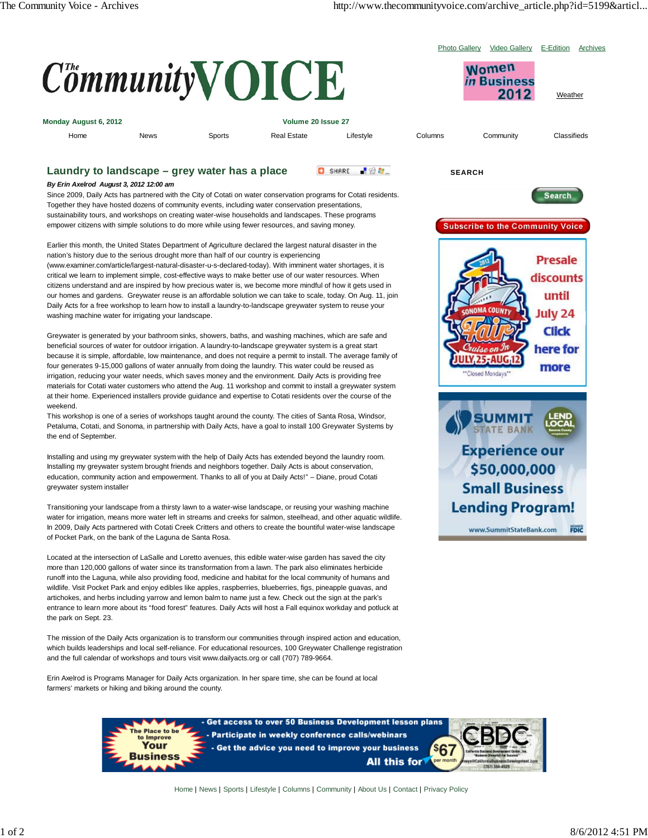

(www.examiner.com/article/largest-natural-disaster-u-s-declared-today). With imminent water shortages, it is critical we learn to implement simple, cost-effective ways to make better use of our water resources. When citizens understand and are inspired by how precious water is, we become more mindful of how it gets used in our homes and gardens. Greywater reuse is an affordable solution we can take to scale, today. On Aug. 11, join Daily Acts for a free workshop to learn how to install a laundry-to-landscape greywater system to reuse your washing machine water for irrigating your landscape.

Greywater is generated by your bathroom sinks, showers, baths, and washing machines, which are safe and beneficial sources of water for outdoor irrigation. A laundry-to-landscape greywater system is a great start because it is simple, affordable, low maintenance, and does not require a permit to install. The average family of four generates 9-15,000 gallons of water annually from doing the laundry. This water could be reused as irrigation, reducing your water needs, which saves money and the environment. Daily Acts is providing free materials for Cotati water customers who attend the Aug. 11 workshop and commit to install a greywater system at their home. Experienced installers provide guidance and expertise to Cotati residents over the course of the weekend.

This workshop is one of a series of workshops taught around the county. The cities of Santa Rosa, Windsor, Petaluma, Cotati, and Sonoma, in partnership with Daily Acts, have a goal to install 100 Greywater Systems by the end of September.

Installing and using my greywater system with the help of Daily Acts has extended beyond the laundry room. Installing my greywater system brought friends and neighbors together. Daily Acts is about conservation, education, community action and empowerment. Thanks to all of you at Daily Acts!" – Diane, proud Cotati greywater system installer

Transitioning your landscape from a thirsty lawn to a water-wise landscape, or reusing your washing machine water for irrigation, means more water left in streams and creeks for salmon, steelhead, and other aquatic wildlife. In 2009, Daily Acts partnered with Cotati Creek Critters and others to create the bountiful water-wise landscape of Pocket Park, on the bank of the Laguna de Santa Rosa.

Located at the intersection of LaSalle and Loretto avenues, this edible water-wise garden has saved the city more than 120,000 gallons of water since its transformation from a lawn. The park also eliminates herbicide runoff into the Laguna, while also providing food, medicine and habitat for the local community of humans and wildlife. Visit Pocket Park and enjoy edibles like apples, raspberries, blueberries, figs, pineapple guavas, and artichokes, and herbs including yarrow and lemon balm to name just a few. Check out the sign at the park's entrance to learn more about its "food forest" features. Daily Acts will host a Fall equinox workday and potluck at the park on Sept. 23.

The mission of the Daily Acts organization is to transform our communities through inspired action and education, which builds leaderships and local self-reliance. For educational resources, 100 Greywater Challenge registration and the full calendar of workshops and tours visit www.dailyacts.org or call (707) 789-9664.

Erin Axelrod is Programs Manager for Daily Acts organization. In her spare time, she can be found at local farmers' markets or hiking and biking around the county.





losed Mondays

**SUMMIT TATE BANK** 

**Experience our** \$50,000,000 **Small Business** 

discounts until July 24 **Click** here for more

Home | News | Sports | Lifestyle | Columns | Community | About Us | Contact | Privacy Policy